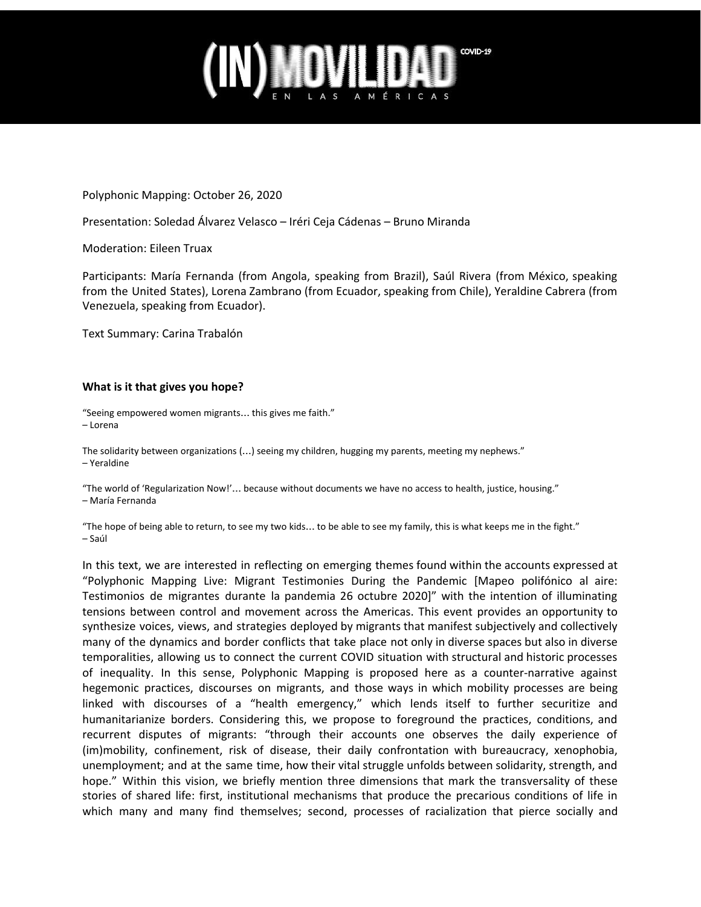

Polyphonic Mapping: October 26, 2020

Presentation: Soledad Álvarez Velasco – Iréri Ceja Cádenas – Bruno Miranda

Moderation: Eileen Truax

Participants: María Fernanda (from Angola, speaking from Brazil), Saúl Rivera (from México, speaking from the United States), Lorena Zambrano (from Ecuador, speaking from Chile), Yeraldine Cabrera (from Venezuela, speaking from Ecuador).

Text Summary: Carina Trabalón

### **What is it that gives you hope?**

"Seeing empowered women migrants… this gives me faith." – Lorena

The solidarity between organizations (…) seeing my children, hugging my parents, meeting my nephews." – Yeraldine

"The world of 'Regularization Now!'… because without documents we have no access to health, justice, housing." – María Fernanda

"The hope of being able to return, to see my two kids… to be able to see my family, this is what keeps me in the fight." – Saúl

In this text, we are interested in reflecting on emerging themes found within the accounts expressed at "Polyphonic Mapping Live: Migrant Testimonies During the Pandemic [Mapeo polifónico al aire: Testimonios de migrantes durante la pandemia 26 octubre 2020]" with the intention of illuminating tensions between control and movement across the Americas. This event provides an opportunity to synthesize voices, views, and strategies deployed by migrants that manifest subjectively and collectively many of the dynamics and border conflicts that take place not only in diverse spaces but also in diverse temporalities, allowing us to connect the current COVID situation with structural and historic processes of inequality. In this sense, Polyphonic Mapping is proposed here as a counter-narrative against hegemonic practices, discourses on migrants, and those ways in which mobility processes are being linked with discourses of a "health emergency," which lends itself to further securitize and humanitarianize borders. Considering this, we propose to foreground the practices, conditions, and recurrent disputes of migrants: "through their accounts one observes the daily experience of (im)mobility, confinement, risk of disease, their daily confrontation with bureaucracy, xenophobia, unemployment; and at the same time, how their vital struggle unfolds between solidarity, strength, and hope." Within this vision, we briefly mention three dimensions that mark the transversality of these stories of shared life: first, institutional mechanisms that produce the precarious conditions of life in which many and many find themselves; second, processes of racialization that pierce socially and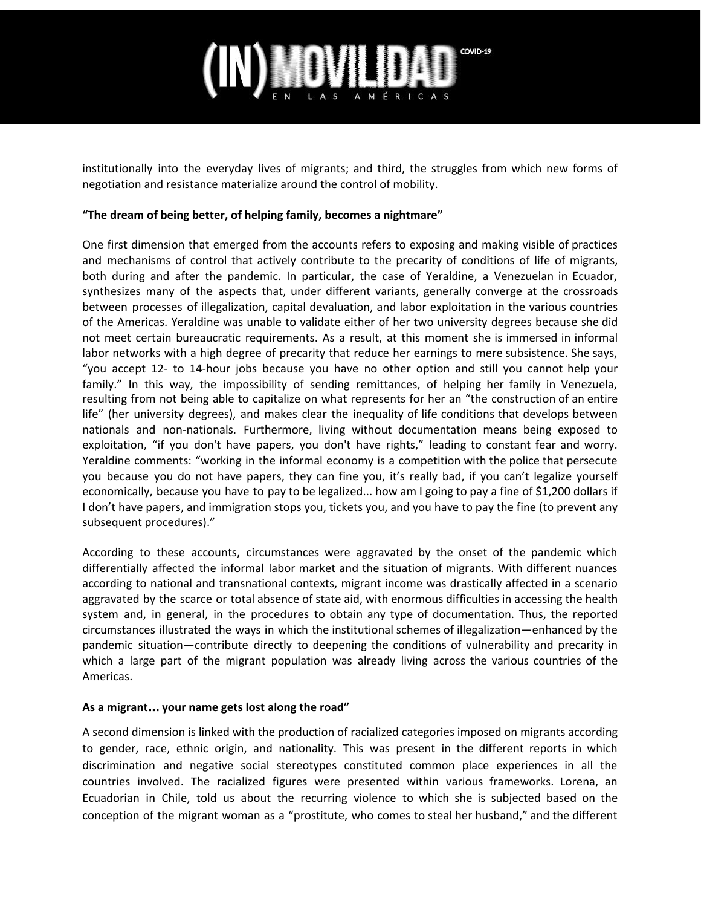## COVID-19

institutionally into the everyday lives of migrants; and third, the struggles from which new forms of negotiation and resistance materialize around the control of mobility.

### **"The dream of being better, of helping family, becomes a nightmare"**

One first dimension that emerged from the accounts refers to exposing and making visible of practices and mechanisms of control that actively contribute to the precarity of conditions of life of migrants, both during and after the pandemic. In particular, the case of Yeraldine, a Venezuelan in Ecuador, synthesizes many of the aspects that, under different variants, generally converge at the crossroads between processes of illegalization, capital devaluation, and labor exploitation in the various countries of the Americas. Yeraldine was unable to validate either of her two university degrees because she did not meet certain bureaucratic requirements. As a result, at this moment she is immersed in informal labor networks with a high degree of precarity that reduce her earnings to mere subsistence. She says, "you accept 12- to 14-hour jobs because you have no other option and still you cannot help your family." In this way, the impossibility of sending remittances, of helping her family in Venezuela, resulting from not being able to capitalize on what represents for her an "the construction of an entire life" (her university degrees), and makes clear the inequality of life conditions that develops between nationals and non-nationals. Furthermore, living without documentation means being exposed to exploitation, "if you don't have papers, you don't have rights," leading to constant fear and worry. Yeraldine comments: "working in the informal economy is a competition with the police that persecute you because you do not have papers, they can fine you, it's really bad, if you can't legalize yourself economically, because you have to pay to be legalized... how am I going to pay a fine of \$1,200 dollars if I don't have papers, and immigration stops you, tickets you, and you have to pay the fine (to prevent any subsequent procedures)."

According to these accounts, circumstances were aggravated by the onset of the pandemic which differentially affected the informal labor market and the situation of migrants. With different nuances according to national and transnational contexts, migrant income was drastically affected in a scenario aggravated by the scarce or total absence of state aid, with enormous difficulties in accessing the health system and, in general, in the procedures to obtain any type of documentation. Thus, the reported circumstances illustrated the ways in which the institutional schemes of illegalization—enhanced by the pandemic situation—contribute directly to deepening the conditions of vulnerability and precarity in which a large part of the migrant population was already living across the various countries of the Americas.

### **As a migrant**… **your name gets lost along the road"**

A second dimension is linked with the production of racialized categories imposed on migrants according to gender, race, ethnic origin, and nationality. This was present in the different reports in which discrimination and negative social stereotypes constituted common place experiences in all the countries involved. The racialized figures were presented within various frameworks. Lorena, an Ecuadorian in Chile, told us about the recurring violence to which she is subjected based on the conception of the migrant woman as a "prostitute, who comes to steal her husband," and the different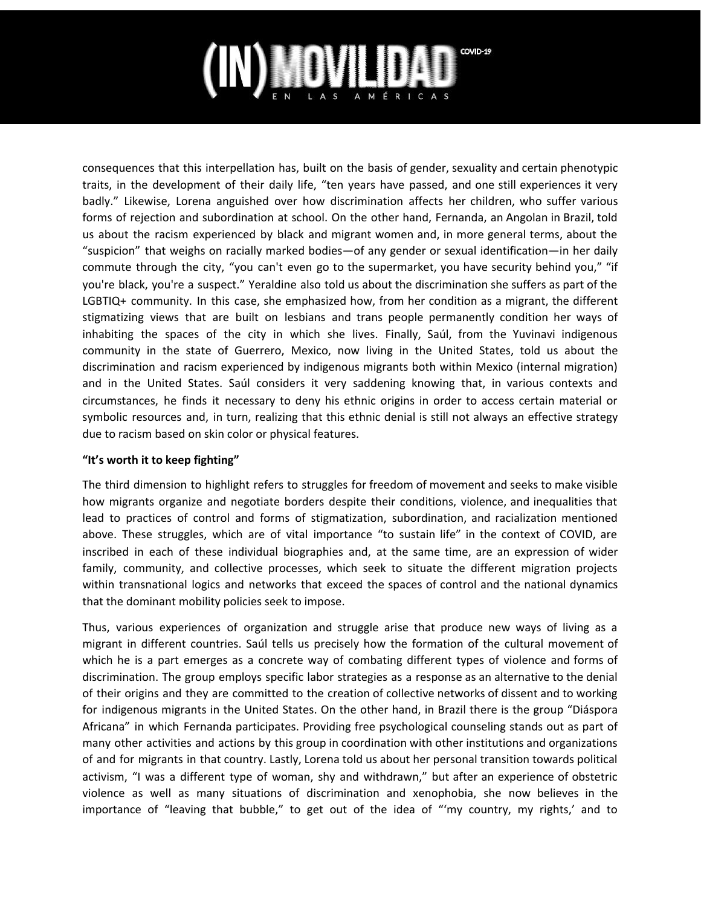# COVID-19

consequences that this interpellation has, built on the basis of gender, sexuality and certain phenotypic traits, in the development of their daily life, "ten years have passed, and one still experiences it very badly." Likewise, Lorena anguished over how discrimination affects her children, who suffer various forms of rejection and subordination at school. On the other hand, Fernanda, an Angolan in Brazil, told us about the racism experienced by black and migrant women and, in more general terms, about the "suspicion" that weighs on racially marked bodies—of any gender or sexual identification—in her daily commute through the city, "you can't even go to the supermarket, you have security behind you," "if you're black, you're a suspect." Yeraldine also told us about the discrimination she suffers as part of the LGBTIQ+ community. In this case, she emphasized how, from her condition as a migrant, the different stigmatizing views that are built on lesbians and trans people permanently condition her ways of inhabiting the spaces of the city in which she lives. Finally, Saúl, from the Yuvinavi indigenous community in the state of Guerrero, Mexico, now living in the United States, told us about the discrimination and racism experienced by indigenous migrants both within Mexico (internal migration) and in the United States. Saúl considers it very saddening knowing that, in various contexts and circumstances, he finds it necessary to deny his ethnic origins in order to access certain material or symbolic resources and, in turn, realizing that this ethnic denial is still not always an effective strategy due to racism based on skin color or physical features.

## **"It's worth it to keep fighting"**

The third dimension to highlight refers to struggles for freedom of movement and seeks to make visible how migrants organize and negotiate borders despite their conditions, violence, and inequalities that lead to practices of control and forms of stigmatization, subordination, and racialization mentioned above. These struggles, which are of vital importance "to sustain life" in the context of COVID, are inscribed in each of these individual biographies and, at the same time, are an expression of wider family, community, and collective processes, which seek to situate the different migration projects within transnational logics and networks that exceed the spaces of control and the national dynamics that the dominant mobility policies seek to impose.

Thus, various experiences of organization and struggle arise that produce new ways of living as a migrant in different countries. Saúl tells us precisely how the formation of the cultural movement of which he is a part emerges as a concrete way of combating different types of violence and forms of discrimination. The group employs specific labor strategies as a response as an alternative to the denial of their origins and they are committed to the creation of collective networks of dissent and to working for indigenous migrants in the United States. On the other hand, in Brazil there is the group "Diáspora Africana" in which Fernanda participates. Providing free psychological counseling stands out as part of many other activities and actions by this group in coordination with other institutions and organizations of and for migrants in that country. Lastly, Lorena told us about her personal transition towards political activism, "I was a different type of woman, shy and withdrawn," but after an experience of obstetric violence as well as many situations of discrimination and xenophobia, she now believes in the importance of "leaving that bubble," to get out of the idea of "'my country, my rights,' and to